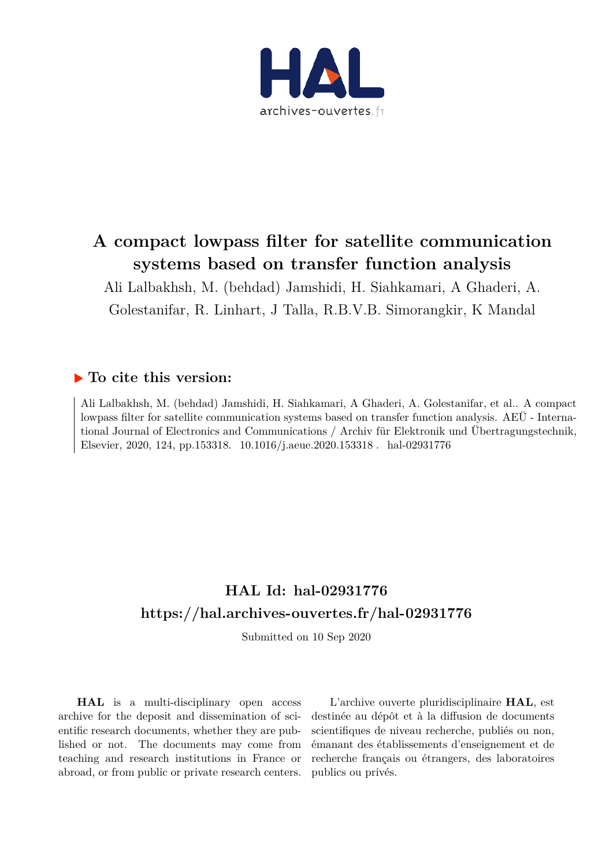

# **A compact lowpass filter for satellite communication systems based on transfer function analysis**

Ali Lalbakhsh, M. (behdad) Jamshidi, H. Siahkamari, A Ghaderi, A. Golestanifar, R. Linhart, J Talla, R.B.V.B. Simorangkir, K Mandal

## **To cite this version:**

Ali Lalbakhsh, M. (behdad) Jamshidi, H. Siahkamari, A Ghaderi, A. Golestanifar, et al.. A compact lowpass filter for satellite communication systems based on transfer function analysis. AEÜ - International Journal of Electronics and Communications / Archiv für Elektronik und Übertragungstechnik, Elsevier, 2020, 124, pp.153318. 10.1016/j.aeue.2020.153318. hal-02931776

## **HAL Id: hal-02931776 https://hal.archives-ouvertes.fr/hal-02931776**

Submitted on 10 Sep 2020

**HAL** is a multi-disciplinary open access archive for the deposit and dissemination of scientific research documents, whether they are published or not. The documents may come from teaching and research institutions in France or abroad, or from public or private research centers.

L'archive ouverte pluridisciplinaire **HAL**, est destinée au dépôt et à la diffusion de documents scientifiques de niveau recherche, publiés ou non, émanant des établissements d'enseignement et de recherche français ou étrangers, des laboratoires publics ou privés.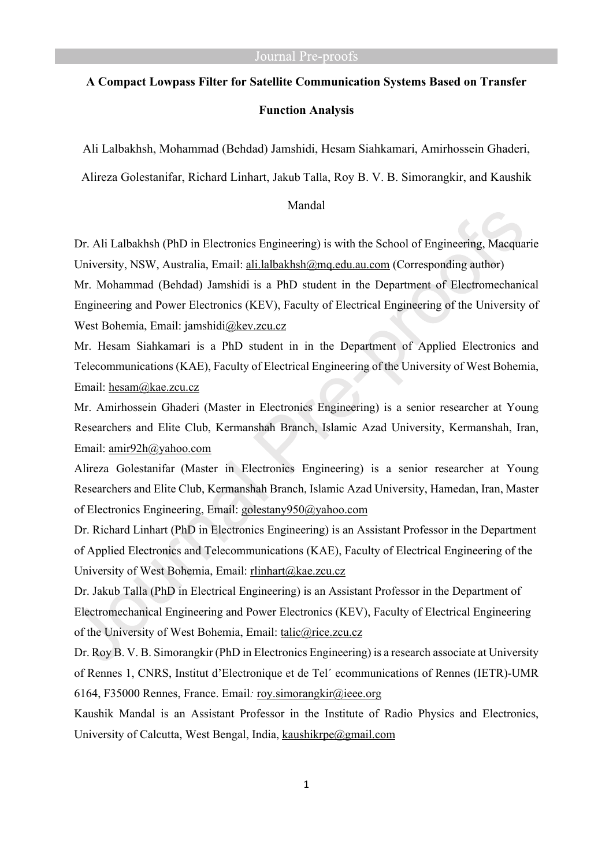# **A Compact Lowpass Filter for Satellite Communication Systems Based on Transfer Function Analysis**

Ali Lalbakhsh, Mohammad (Behdad) Jamshidi, Hesam Siahkamari, Amirhossein Ghaderi,

Alireza Golestanifar, Richard Linhart, Jakub Talla, Roy B. V. B. Simorangkir, and Kaushik

#### Mandal

Dr. Ali Lalbakhsh (PhD in Electronics Engineering) is with the School of Engineering, Macquarie University, NSW, Australia, Email: ali.lalbakhsh@mq.edu.au.com (Corresponding author)

Mr. Mohammad (Behdad) Jamshidi is a PhD student in the Department of Electromechanical Engineering and Power Electronics (KEV), Faculty of Electrical Engineering of the University of West Bohemia, Email: jamshidi@kev.zcu.cz

Mr. Hesam Siahkamari is a PhD student in in the Department of Applied Electronics and Telecommunications (KAE), Faculty of Electrical Engineering of the University of West Bohemia, Email: hesam@kae.zcu.cz

Mr. Amirhossein Ghaderi (Master in Electronics Engineering) is a senior researcher at Young Researchers and Elite Club, Kermanshah Branch, Islamic Azad University, Kermanshah, Iran, Email: amir92h@yahoo.com

Alireza Golestanifar (Master in Electronics Engineering) is a senior researcher at Young Researchers and Elite Club, Kermanshah Branch, Islamic Azad University, Hamedan, Iran, Master of Electronics Engineering, Email: golestany950@yahoo.com

Dr. Richard Linhart (PhD in Electronics Engineering) is an Assistant Professor in the Department of Applied Electronics and Telecommunications (KAE), Faculty of Electrical Engineering of the University of West Bohemia, Email: rlinhart@kae.zcu.cz

Dr. Jakub Talla (PhD in Electrical Engineering) is an Assistant Professor in the Department of Electromechanical Engineering and Power Electronics (KEV), Faculty of Electrical Engineering of the University of West Bohemia, Email: talic@rice.zcu.cz

Dr. Roy B. V. B. Simorangkir (PhD in Electronics Engineering) is a research associate at University of Rennes 1, CNRS, Institut d'Electronique et de Tel´ ecommunications of Rennes (IETR)-UMR 6164, F35000 Rennes, France. Email*:* roy.simorangkir@ieee.org

Kaushik Mandal is an Assistant Professor in the Institute of Radio Physics and Electronics, University of Calcutta, West Bengal, India, kaushikrpe@gmail.com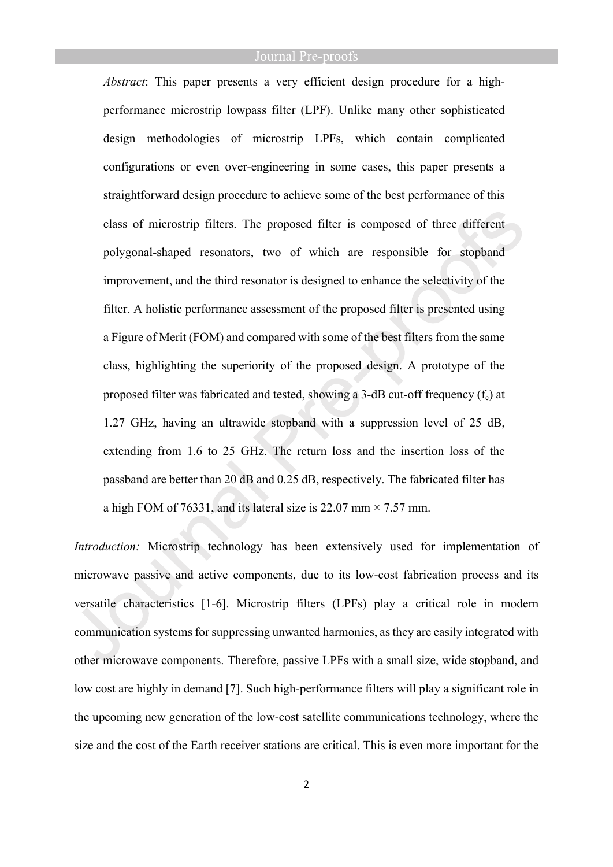*Abstract*: This paper presents a very efficient design procedure for a highperformance microstrip lowpass filter (LPF). Unlike many other sophisticated design methodologies of microstrip LPFs, which contain complicated configurations or even over-engineering in some cases, this paper presents a straightforward design procedure to achieve some of the best performance of this class of microstrip filters. The proposed filter is composed of three different polygonal-shaped resonators, two of which are responsible for stopband improvement, and the third resonator is designed to enhance the selectivity of the filter. A holistic performance assessment of the proposed filter is presented using a Figure of Merit (FOM) and compared with some of the best filters from the same class, highlighting the superiority of the proposed design. A prototype of the proposed filter was fabricated and tested, showing a 3-dB cut-off frequency  $(f_c)$  at 1.27 GHz, having an ultrawide stopband with a suppression level of 25 dB, extending from 1.6 to 25 GHz. The return loss and the insertion loss of the passband are better than 20 dB and 0.25 dB, respectively. The fabricated filter has a high FOM of 76331, and its lateral size is 22.07 mm  $\times$  7.57 mm.

*Introduction:* Microstrip technology has been extensively used for implementation of microwave passive and active components, due to its low-cost fabrication process and its versatile characteristics [1-6]. Microstrip filters (LPFs) play a critical role in modern communication systems for suppressing unwanted harmonics, as they are easily integrated with other microwave components. Therefore, passive LPFs with a small size, wide stopband, and low cost are highly in demand [7]. Such high-performance filters will play a significant role in the upcoming new generation of the low-cost satellite communications technology, where the size and the cost of the Earth receiver stations are critical. This is even more important for the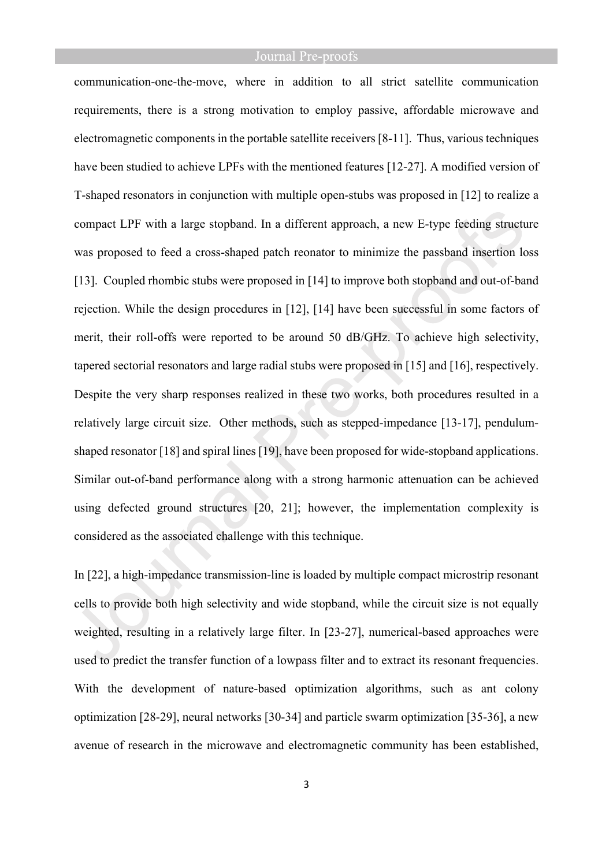communication-one-the-move, where in addition to all strict satellite communication requirements, there is a strong motivation to employ passive, affordable microwave and electromagnetic components in the portable satellite receivers [8-11]. Thus, various techniques have been studied to achieve LPFs with the mentioned features [12-27]. A modified version of T-shaped resonators in conjunction with multiple open-stubs was proposed in [12] to realize a compact LPF with a large stopband. In a different approach, a new E-type feeding structure was proposed to feed a cross-shaped patch reonator to minimize the passband insertion loss [13]. Coupled rhombic stubs were proposed in [14] to improve both stopband and out-of-band rejection. While the design procedures in [12], [14] have been successful in some factors of merit, their roll-offs were reported to be around 50 dB/GHz. To achieve high selectivity, tapered sectorial resonators and large radial stubs were proposed in [15] and [16], respectively. Despite the very sharp responses realized in these two works, both procedures resulted in a relatively large circuit size. Other methods, such as stepped-impedance [13-17], pendulumshaped resonator [18] and spiral lines [19], have been proposed for wide-stopband applications. Similar out-of-band performance along with a strong harmonic attenuation can be achieved using defected ground structures [20, 21]; however, the implementation complexity is considered as the associated challenge with this technique.

In [22], a high-impedance transmission-line is loaded by multiple compact microstrip resonant cells to provide both high selectivity and wide stopband, while the circuit size is not equally weighted, resulting in a relatively large filter. In [23-27], numerical-based approaches were used to predict the transfer function of a lowpass filter and to extract its resonant frequencies. With the development of nature-based optimization algorithms, such as ant colony optimization [28-29], neural networks [30-34] and particle swarm optimization [35-36], a new avenue of research in the microwave and electromagnetic community has been established,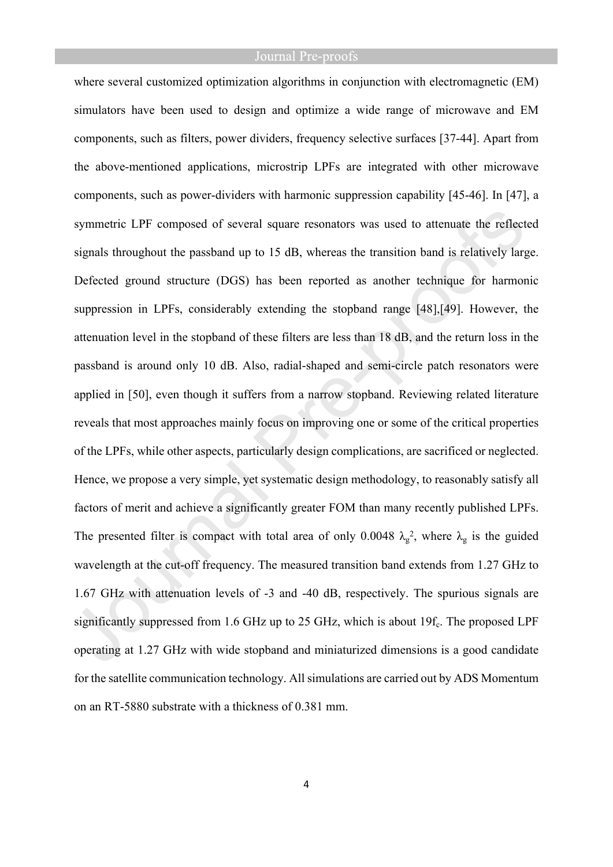where several customized optimization algorithms in conjunction with electromagnetic (EM) simulators have been used to design and optimize a wide range of microwave and EM components, such as filters, power dividers, frequency selective surfaces [37-44]. Apart from the above-mentioned applications, microstrip LPFs are integrated with other microwave components, such as power-dividers with harmonic suppression capability [45-46]. In [47], a symmetric LPF composed of several square resonators was used to attenuate the reflected signals throughout the passband up to 15 dB, whereas the transition band is relatively large. Defected ground structure (DGS) has been reported as another technique for harmonic suppression in LPFs, considerably extending the stopband range [48],[49]. However, the attenuation level in the stopband of these filters are less than 18 dB, and the return loss in the passband is around only 10 dB. Also, radial-shaped and semi-circle patch resonators were applied in [50], even though it suffers from a narrow stopband. Reviewing related literature reveals that most approaches mainly focus on improving one or some of the critical properties of the LPFs, while other aspects, particularly design complications, are sacrificed or neglected. Hence, we propose a very simple, yet systematic design methodology, to reasonably satisfy all factors of merit and achieve a significantly greater FOM than many recently published LPFs. The presented filter is compact with total area of only 0.0048  $\lambda_g^2$ , where  $\lambda_g$  is the guided wavelength at the cut-off frequency. The measured transition band extends from 1.27 GHz to 1.67 GHz with attenuation levels of -3 and -40 dB, respectively. The spurious signals are significantly suppressed from 1.6 GHz up to 25 GHz, which is about  $19f_c$ . The proposed LPF operating at 1.27 GHz with wide stopband and miniaturized dimensions is a good candidate for the satellite communication technology. All simulations are carried out by ADS Momentum on an RT-5880 substrate with a thickness of 0.381 mm.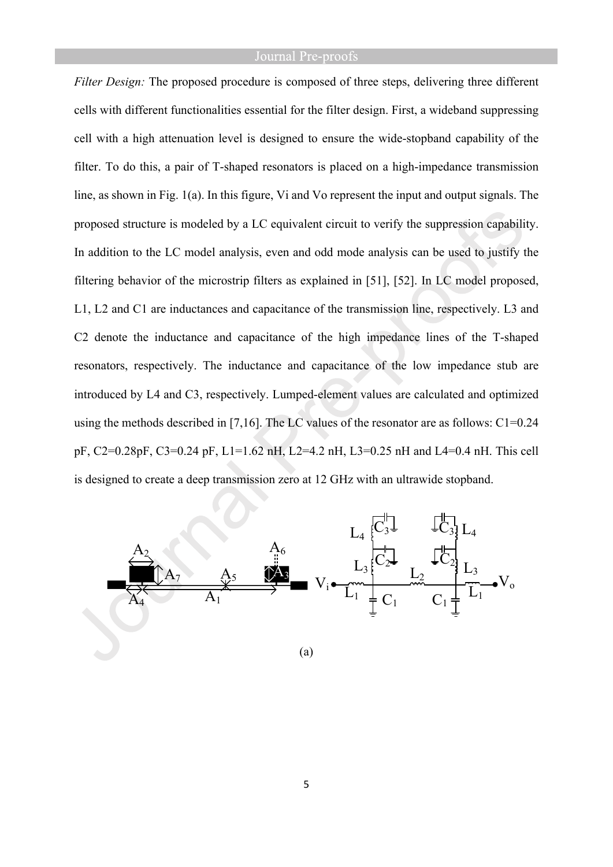*Filter Design:* The proposed procedure is composed of three steps, delivering three different cells with different functionalities essential for the filter design. First, a wideband suppressing cell with a high attenuation level is designed to ensure the wide-stopband capability of the filter. To do this, a pair of T-shaped resonators is placed on a high-impedance transmission line, as shown in Fig. 1(a). In this figure, Vi and Vo represent the input and output signals. The proposed structure is modeled by a LC equivalent circuit to verify the suppression capability. In addition to the LC model analysis, even and odd mode analysis can be used to justify the filtering behavior of the microstrip filters as explained in [51], [52]. In LC model proposed, L1, L2 and C1 are inductances and capacitance of the transmission line, respectively. L3 and C2 denote the inductance and capacitance of the high impedance lines of the T-shaped resonators, respectively. The inductance and capacitance of the low impedance stub are introduced by L4 and C3, respectively. Lumped-element values are calculated and optimized using the methods described in [7,16]. The LC values of the resonator are as follows: C1=0.24 pF, C2=0.28pF, C3=0.24 pF, L1=1.62 nH, L2=4.2 nH, L3=0.25 nH and L4=0.4 nH. This cell is designed to create a deep transmission zero at 12 GHz with an ultrawide stopband.



(a)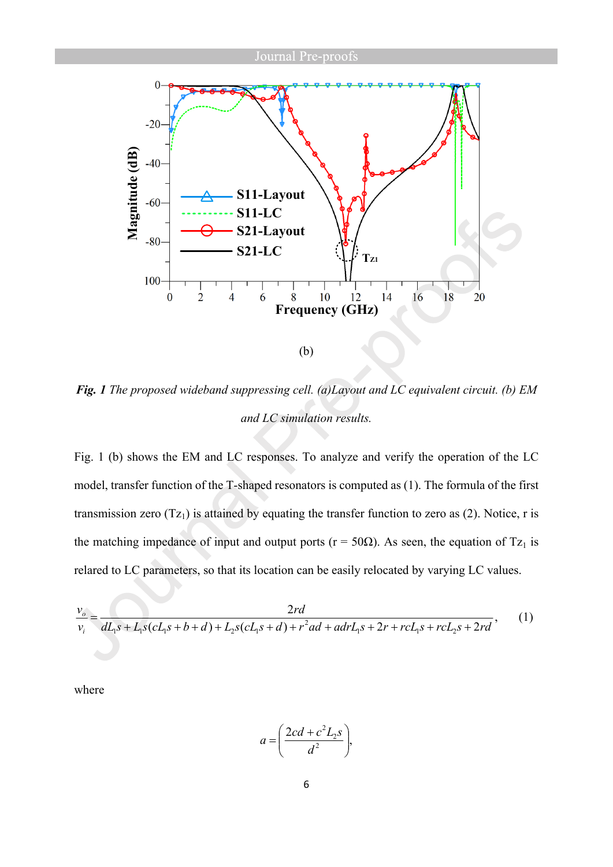

*Fig. 1 The proposed wideband suppressing cell. (a)Layout and LC equivalent circuit. (b) EM and LC simulation results.*

Fig. 1 (b) shows the EM and LC responses. To analyze and verify the operation of the LC model, transfer function of the T-shaped resonators is computed as (1). The formula of the first transmission zero  $(Tz_1)$  is attained by equating the transfer function to zero as (2). Notice, r is the matching impedance of input and output ports ( $r = 50\Omega$ ). As seen, the equation of Tz<sub>1</sub> is relared to LC parameters, so that its location can be easily relocated by varying LC values.

$$
\frac{v_o}{v_i} = \frac{2rd}{dL_1s + L_1s(cL_1s + b + d) + L_2s(cL_1s + d) + r^2ad + adrL_1s + 2r + rcL_1s + rcL_2s + 2rd},
$$
 (1)

where

$$
a = \left(\frac{2cd + c^2L_2s}{d^2}\right),
$$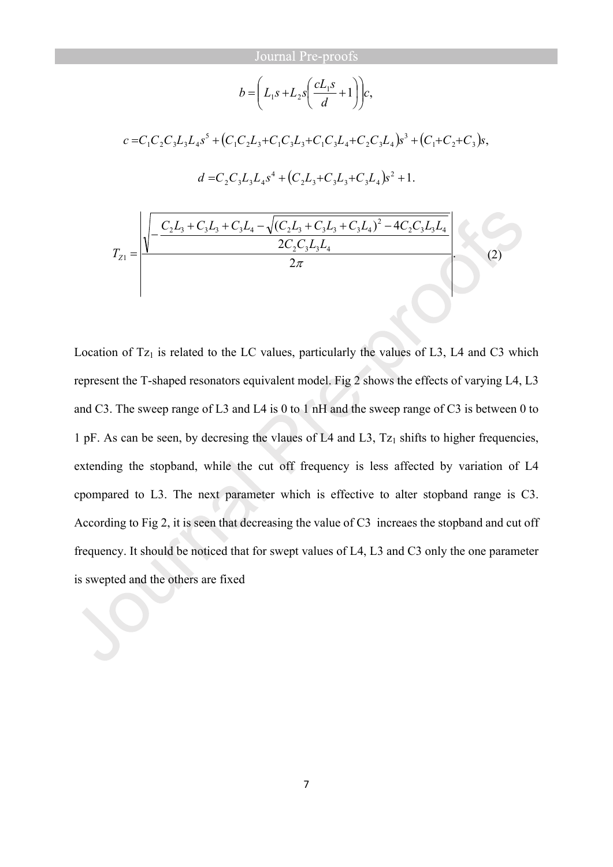$$
b = \left(L_1s + L_2s\left(\frac{cL_1s}{d} + 1\right)\right)c,
$$

 $(C_1C_2L_3 + C_1C_3L_3 + C_1C_3L_4 + C_2C_3L_4)s^3 + (C_1+C_2+C_3)s,$ 3  $1$   $2\frac{13}{3}$   $\cdot$   $\cdot$   $1$   $\cdot$   $3\frac{13}{3}$   $\cdot$   $\cdot$   $1$   $\cdot$   $3\frac{13}{4}$   $\cdot$   $\cdot$   $2$   $\cdot$   $3\frac{13}{4}$ 5  $c = C_1 C_2 C_3 L_3 L_4 s^5 + (C_1 C_2 L_3 + C_1 C_3 L_3 + C_1 C_3 L_4 + C_2 C_3 L_4) s^3 + (C_1 + C_2 + C_3) s^2$  $(C_2L_3+C_3L_3+C_3L_4)s^2+1$ .  $2\frac{2}{3}$   $\sqrt{313}$   $\sqrt{314}$  $d = C_2 C_3 L_3 L_4 s^4 + (C_2 L_3 + C_3 L_3 + C_3 L_4) s^2 +$  $\qquad \qquad (2)$ 2 2  $(C_2L_3 + C_3L_3 + C_3L_4)^2 - 4$  $2^{\mathcal{L}_3 \mathcal{L}_3 \mathcal{L}_4}$  $2\epsilon_3\epsilon_3\epsilon_4$ 2  $2\mathcal{L}_3$   $\cdot$   $\mathcal{L}_3\mathcal{L}_3$   $\cdot$   $\mathcal{L}_3\mathcal{L}_4$   $\cdot$   $\sqrt{(2}\mathcal{L}_3 \cdot \mathcal{L}_3\mathcal{L}_3 \cdot \mathcal{L}_3\mathcal{L}_4)}$  $\begin{array}{c|c|c|c|c} & & & & 1 & \hline & & & & 1 & \hline & & & & & 1 & \hline & & & & & & 1 & \hline & & & & & & & & 1 \end{array}$  $C_2C_3L_3L$  $C_2L_3 + C_3L_4 + C_4L_4 - \sqrt{(C_2L_3 + C_3L_4 + C_4L_4)^2 - 4C_2C_3L_4L_4}$ *TZ*  $+C_3L_3+C_3L_4-\sqrt{(C_2L_3+C_3L_3+C_3L_4)^2}$  $\overline{a}$  $=$ 

Location of  $Tz_1$  is related to the LC values, particularly the values of L3, L4 and C3 which represent the T-shaped resonators equivalent model. Fig 2 shows the effects of varying L4, L3 and C3. The sweep range of L3 and L4 is 0 to 1 nH and the sweep range of C3 is between 0 to 1 pF. As can be seen, by decresing the vlaues of L4 and L3,  $Tz_1$  shifts to higher frequencies, extending the stopband, while the cut off frequency is less affected by variation of L4 cpompared to L3. The next parameter which is effective to alter stopband range is C3. According to Fig 2, it is seen that decreasing the value of C3 increaes the stopband and cut off frequency. It should be noticed that for swept values of L4, L3 and C3 only the one parameter is swepted and the others are fixed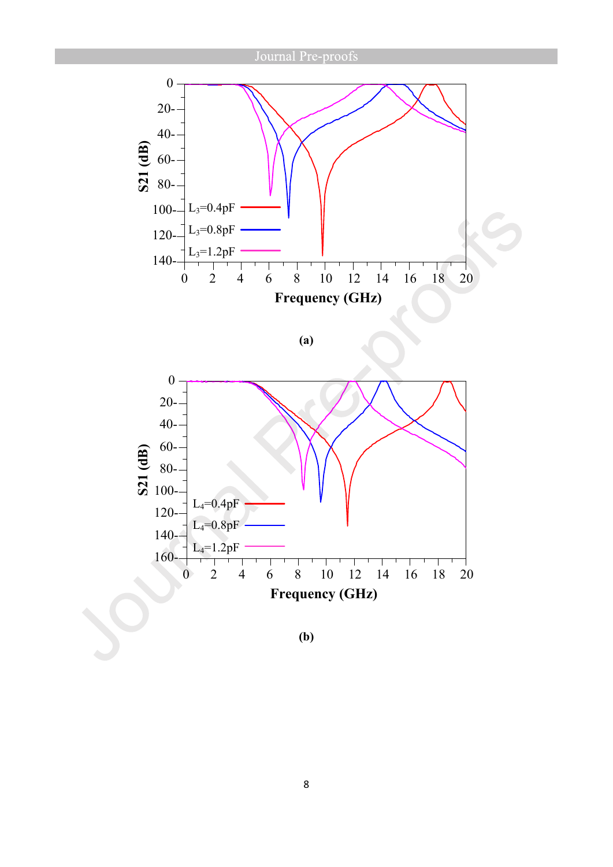

**(a)**

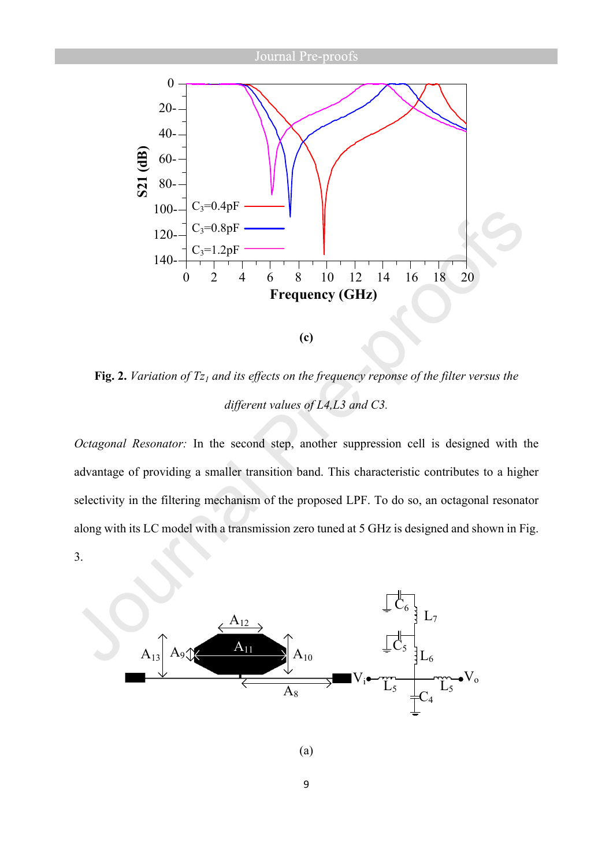

**Fig. 2.** *Variation of Tz1 and its effects on the frequency reponse of the filter versus the different values of L4,L3 and C3.*

*Octagonal Resonator:* In the second step, another suppression cell is designed with the advantage of providing a smaller transition band. This characteristic contributes to a higher selectivity in the filtering mechanism of the proposed LPF. To do so, an octagonal resonator along with its LC model with a transmission zero tuned at 5 GHz is designed and shown in Fig. 3.



9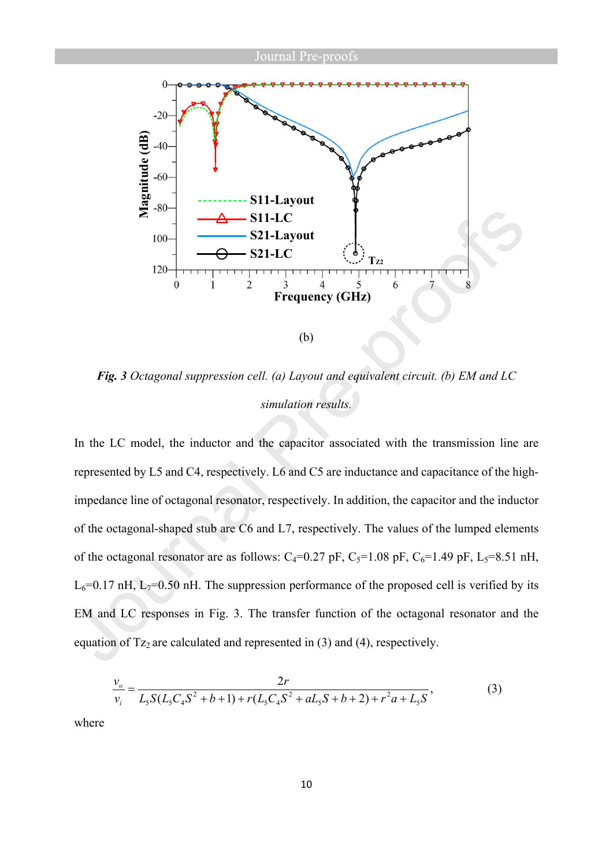

*Fig. 3 Octagonal suppression cell. (a) Layout and equivalent circuit. (b) EM and LC simulation results.*

In the LC model, the inductor and the capacitor associated with the transmission line are represented by L5 and C4, respectively. L6 and C5 are inductance and capacitance of the highimpedance line of octagonal resonator, respectively. In addition, the capacitor and the inductor of the octagonal-shaped stub are C6 and L7, respectively. The values of the lumped elements of the octagonal resonator are as follows:  $C_4=0.27$  pF,  $C_5=1.08$  pF,  $C_6=1.49$  pF,  $L_5=8.51$  nH,  $L_6$ =0.17 nH,  $L_7$ =0.50 nH. The suppression performance of the proposed cell is verified by its EM and LC responses in Fig. 3. The transfer function of the octagonal resonator and the equation of  $Tz_2$  are calculated and represented in (3) and (4), respectively.

$$
\frac{v_o}{v_i} = \frac{2r}{L_5 S (L_5 C_4 S^2 + b + 1) + r (L_5 C_4 S^2 + aL_5 S + b + 2) + r^2 a + L_5 S},
$$
\n(3)

where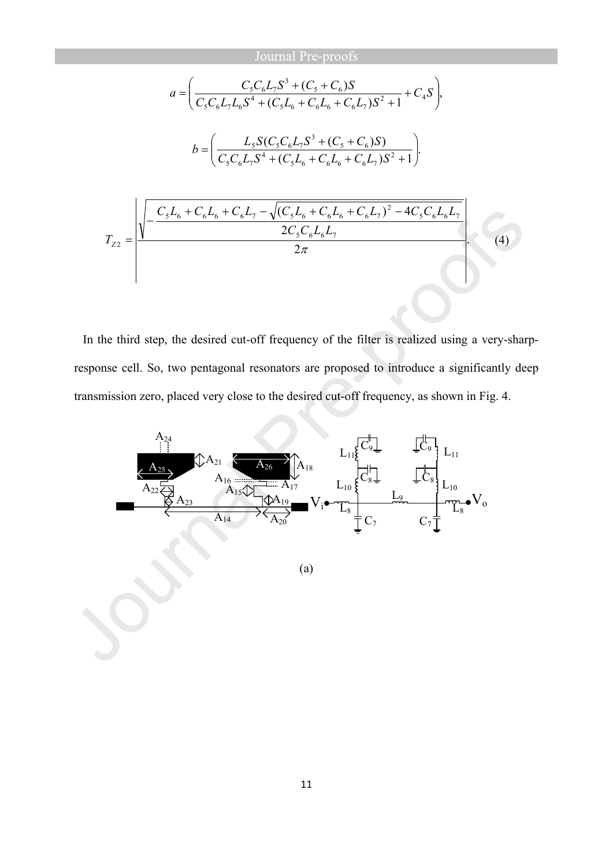$$
a = \left(\frac{C_{5}C_{6}L_{7}S^{3} + (C_{5} + C_{6})S}{C_{5}C_{6}L_{7}L_{6}S^{4} + (C_{5}L_{6} + C_{6}L_{6} + C_{6}L_{7})S^{2} + 1} + C_{4}S\right),
$$
  
\n
$$
b = \left(\frac{L_{5}S(C_{5}C_{6}L_{7}S^{3} + (C_{5} + C_{6})S)}{C_{5}C_{6}L_{7}S^{4} + (C_{5}L_{6} + C_{6}L_{6} + C_{6}L_{7})S^{2} + 1}\right).
$$
  
\n
$$
T_{Z2} = \frac{\sqrt{\frac{C_{5}L_{6} + C_{6}L_{6} + C_{6}L_{7} - \sqrt{(C_{5}L_{6} + C_{6}L_{6} + C_{6}L_{7})^{2} - 4C_{5}C_{6}L_{6}L_{7}}}{2C_{5}C_{6}L_{6}L_{7}}}}{2\pi} \right).
$$
(4)

In the third step, the desired cut-off frequency of the filter is realized using a very-sharpresponse cell. So, two pentagonal resonators are proposed to introduce a significantly deep transmission zero, placed very close to the desired cut-off frequency, as shown in Fig. 4.

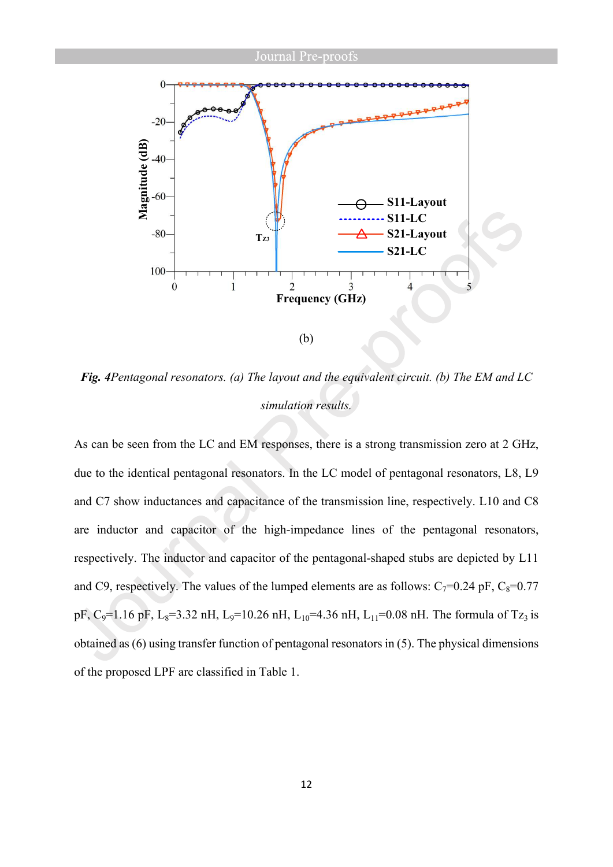

*Fig. 4Pentagonal resonators. (a) The layout and the equivalent circuit. (b) The EM and LC simulation results.*

As can be seen from the LC and EM responses, there is a strong transmission zero at 2 GHz, due to the identical pentagonal resonators. In the LC model of pentagonal resonators, L8, L9 and C7 show inductances and capacitance of the transmission line, respectively. L10 and C8 are inductor and capacitor of the high-impedance lines of the pentagonal resonators, respectively. The inductor and capacitor of the pentagonal-shaped stubs are depicted by L11 and C9, respectively. The values of the lumped elements are as follows:  $C_7=0.24$  pF,  $C_8=0.77$ pF, C<sub>9</sub>=1.16 pF, L<sub>8</sub>=3.32 nH, L<sub>9</sub>=10.26 nH, L<sub>10</sub>=4.36 nH, L<sub>11</sub>=0.08 nH. The formula of Tz<sub>3</sub> is obtained as (6) using transfer function of pentagonal resonators in (5). The physical dimensions of the proposed LPF are classified in Table 1.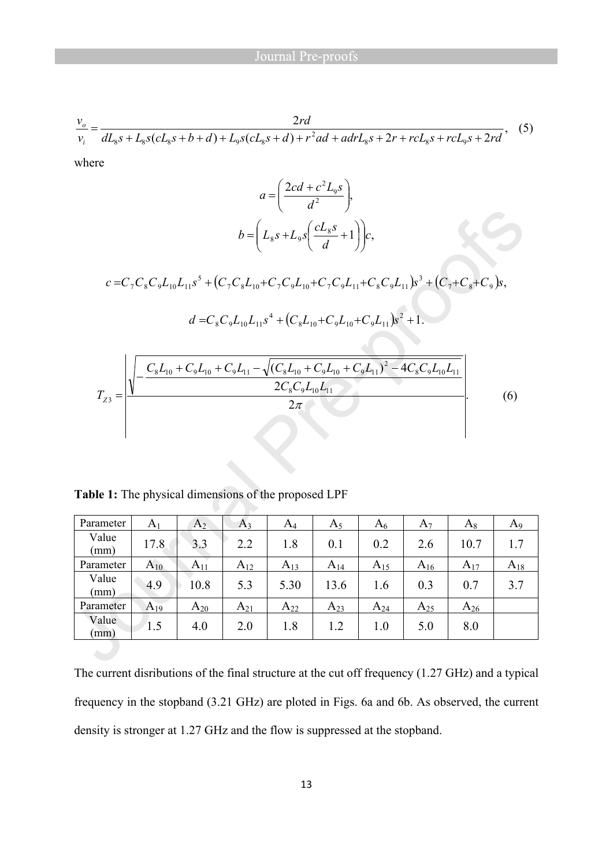$$
\frac{v_o}{v_i} = \frac{2rd}{dL_s s + L_s s(cL_s s + b + d) + L_9 s(cL_s s + d) + r^2 ad + adrL_s s + 2r + rcL_s s + rcL_9 s + 2rd},
$$
(5)

where

$$
a = \left(\frac{2cd + c^2 L_9 s}{d^2}\right),
$$
  

$$
b = \left(L_8 s + L_9 s \left(\frac{c L_8 s}{d} + 1\right)\right) c,
$$

 $(C_7C_8L_{10}+C_7C_9L_{10}+C_7C_9L_{11}+C_8C_9L_{11})s^3+(C_7+C_8+C_9)s,$ 3  $70.8\mu_{10}$   $\sim$   $70.9\mu_{10}$   $\sim$   $70.9\mu_{11}$   $\sim$   $80.9\mu_{11}$  $c = C_7 C_8 C_9 L_{10} L_{11} s^5 + (C_7 C_8 L_{10} + C_7 C_9 L_{10} + C_7 C_9 L_{11} + C_8 C_9 L_{11}) s^3 + (C_7 + C_8 + C_9) s^4$ 

$$
d = C_8 C_9 L_{10} L_{11} s^4 + (C_8 L_{10} + C_9 L_{10} + C_9 L_{11}) s^2 + 1.
$$

$$
T_{Z3} = \frac{\sqrt{-\frac{C_8L_{10} + C_9L_{10} + C_9L_{11} - \sqrt{(C_8L_{10} + C_9L_{10} + C_9L_{11})^2 - 4C_8C_9L_{10}L_{11}}}{2C_8C_9L_{10}L_{11}}}}{2\pi}.
$$
(6)

**Table 1:** The physical dimensions of the proposed LPF

| Parameter     | A <sub>1</sub> | A <sub>2</sub> | $A_3$    | $A_4$    | $A_5$    | $A_6$    | $A_7$    | $A_8$    | $A_9$    |
|---------------|----------------|----------------|----------|----------|----------|----------|----------|----------|----------|
| Value<br>(mm) | 17.8           | 3.3            | 2.2      | 1.8      | 0.1      | 0.2      | 2.6      | 10.7     |          |
| Parameter     | $A_{10}$       | $A_{11}$       | $A_{12}$ | $A_{13}$ | $A_{14}$ | $A_{15}$ | $A_{16}$ | $A_{17}$ | $A_{18}$ |
| Value<br>(mm) | 4.9            | 10.8           | 5.3      | 5.30     | 13.6     | 1.6      | 0.3      | 0.7      | 3.7      |
| Parameter     | $A_{19}$       | $A_{20}$       | $A_{21}$ | $A_{22}$ | $A_{23}$ | $A_{24}$ | $A_{25}$ | $A_{26}$ |          |
| Value<br>(mm) | l.5            | 4.0            | 2.0      | 1.8      | 1.2      | 1.0      | 5.0      | 8.0      |          |

The current disributions of the final structure at the cut off frequency (1.27 GHz) and a typical frequency in the stopband (3.21 GHz) are ploted in Figs. 6a and 6b. As observed, the current density is stronger at 1.27 GHz and the flow is suppressed at the stopband.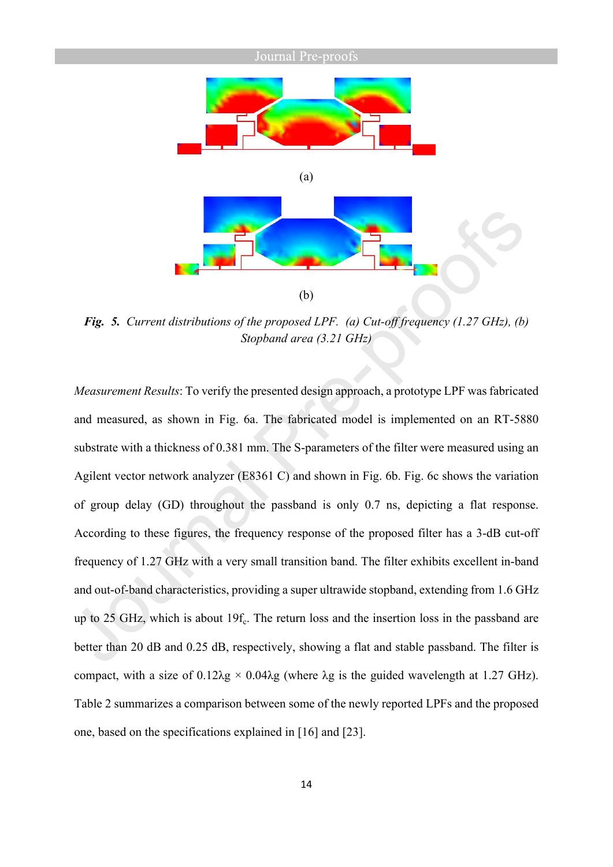

*Fig. 5. Current distributions of the proposed LPF. (a) Cut-off frequency (1.27 GHz), (b) Stopband area (3.21 GHz)*

*Measurement Results*: To verify the presented design approach, a prototype LPF was fabricated and measured, as shown in Fig. 6a. The fabricated model is implemented on an RT-5880 substrate with a thickness of 0.381 mm. The S-parameters of the filter were measured using an Agilent vector network analyzer (E8361 C) and shown in Fig. 6b. Fig. 6c shows the variation of group delay (GD) throughout the passband is only 0.7 ns, depicting a flat response. According to these figures, the frequency response of the proposed filter has a 3-dB cut-off frequency of 1.27 GHz with a very small transition band. The filter exhibits excellent in-band and out-of-band characteristics, providing a super ultrawide stopband, extending from 1.6 GHz up to 25 GHz, which is about  $19f_c$ . The return loss and the insertion loss in the passband are better than 20 dB and 0.25 dB, respectively, showing a flat and stable passband. The filter is compact, with a size of  $0.12\lambda g \times 0.04\lambda g$  (where  $\lambda g$  is the guided wavelength at 1.27 GHz). Table 2 summarizes a comparison between some of the newly reported LPFs and the proposed one, based on the specifications explained in [16] and [23].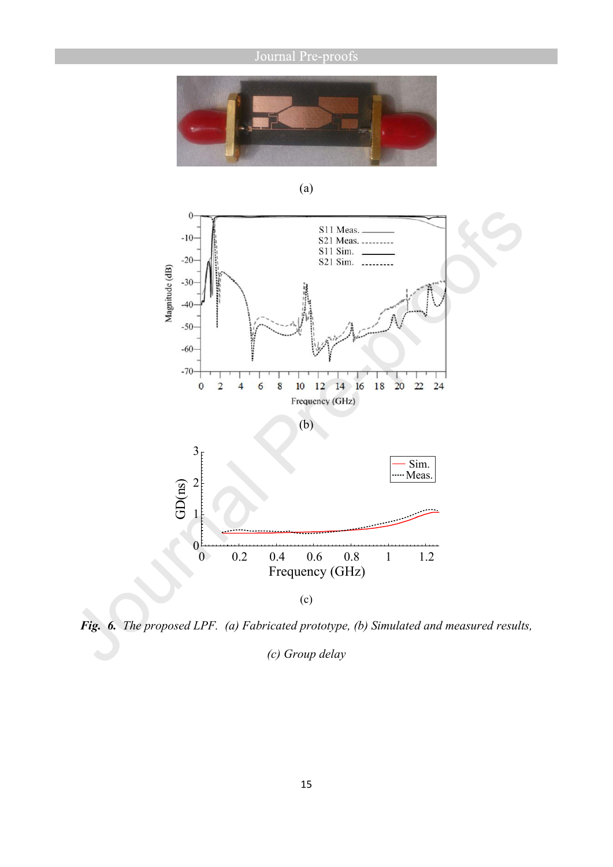



*Fig. 6. The proposed LPF. (a) Fabricated prototype, (b) Simulated and measured results,* 

*(c) Group delay*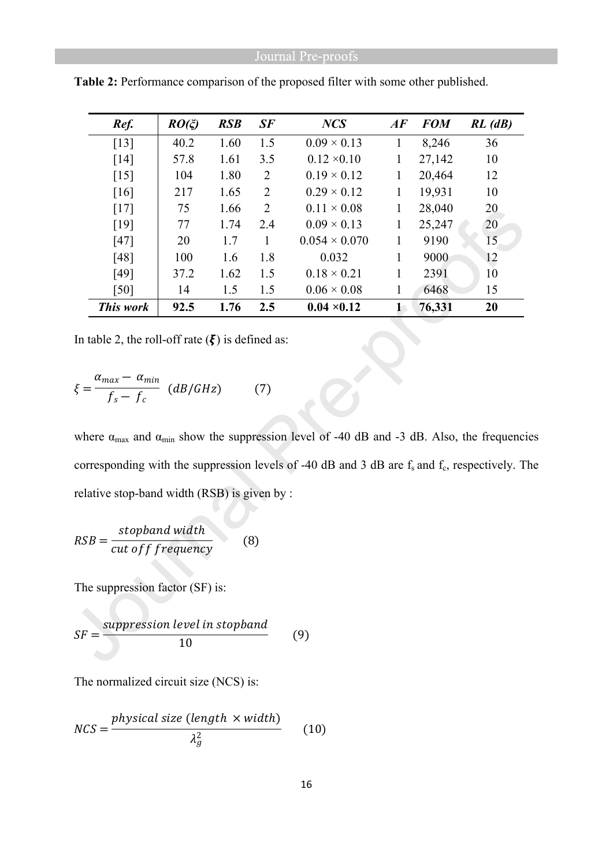| Ref.               | $RO(\xi)$ | <b>RSB</b> | SF             | <b>NCS</b>           | AF              | <b>FOM</b> | $RL$ ( $dB$ ) |
|--------------------|-----------|------------|----------------|----------------------|-----------------|------------|---------------|
| $\lceil 13 \rceil$ | 40.2      | 1.60       | 1.5            | $0.09 \times 0.13$   | 1               | 8,246      | 36            |
| $[14]$             | 57.8      | 1.61       | 3.5            | $0.12 \times 0.10$   | 1               | 27,142     | 10            |
| $\lceil 15 \rceil$ | 104       | 1.80       | $\overline{2}$ | $0.19 \times 0.12$   | 1               | 20,464     | 12            |
| $\lceil 16 \rceil$ | 217       | 1.65       | $\overline{2}$ | $0.29 \times 0.12$   | 1               | 19,931     | 10            |
| $[17]$             | 75        | 1.66       | $\overline{2}$ | $0.11 \times 0.08$   | 1               | 28,040     | 20            |
| [19]               | 77        | 1.74       | 2.4            | $0.09 \times 0.13$   | 1               | 25,247     | 20            |
| $[47]$             | 20        | 1.7        |                | $0.054 \times 0.070$ | 1               | 9190       | 15            |
| [48]               | 100       | 1.6        | 1.8            | 0.032                | 1               | 9000       | 12            |
| [49]               | 37.2      | 1.62       | 1.5            | $0.18 \times 0.21$   | 1               | 2391       | 10            |
| $[50]$             | 14        | 1.5        | 1.5            | $0.06 \times 0.08$   | 1               | 6468       | 15            |
| This work          | 92.5      | 1.76       | 2.5            | $0.04 \times 0.12$   | $1\overline{ }$ | 76,331     | 20            |

**Table 2:** Performance comparison of the proposed filter with some other published.

In table 2, the roll-off rate  $(\xi)$  is defined as:

$$
\xi = \frac{\alpha_{max} - \alpha_{min}}{f_s - f_c} \quad (dB/GHz) \tag{7}
$$

where  $\alpha_{\text{max}}$  and  $\alpha_{\text{min}}$  show the suppression level of -40 dB and -3 dB. Also, the frequencies corresponding with the suppression levels of -40 dB and 3 dB are  $f_s$  and  $f_c$ , respectively. The relative stop-band width (RSB) is given by :

$$
RSB = \frac{stopband width}{cut off frequency}
$$
 (8)

The suppression factor (SF) is:

$$
SF = \frac{suppression level in stopband}{10}
$$
 (9)

The normalized circuit size (NCS) is:

$$
NCS = \frac{physical\ size\ (length \times width)}{\lambda_g^2} \qquad (10)
$$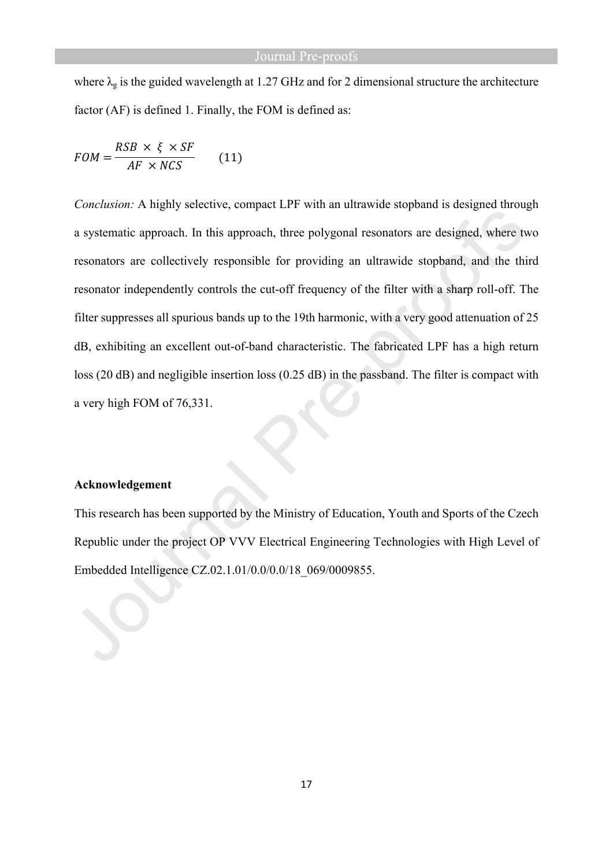where  $\lambda_g$  is the guided wavelength at 1.27 GHz and for 2 dimensional structure the architecture factor (AF) is defined 1. Finally, the FOM is defined as:

$$
FOM = \frac{RSB \times \xi \times SF}{AF \times NCS}
$$
 (11)

*Conclusion:* A highly selective, compact LPF with an ultrawide stopband is designed through a systematic approach. In this approach, three polygonal resonators are designed, where two resonators are collectively responsible for providing an ultrawide stopband, and the third resonator independently controls the cut-off frequency of the filter with a sharp roll-off. The filter suppresses all spurious bands up to the 19th harmonic, with a very good attenuation of 25 dB, exhibiting an excellent out-of-band characteristic. The fabricated LPF has a high return loss (20 dB) and negligible insertion loss (0.25 dB) in the passband. The filter is compact with a very high FOM of 76,331.

#### **Acknowledgement**

This research has been supported by the Ministry of Education, Youth and Sports of the Czech Republic under the project OP VVV Electrical Engineering Technologies with High Level of Embedded Intelligence CZ.02.1.01/0.0/0.0/18\_069/0009855.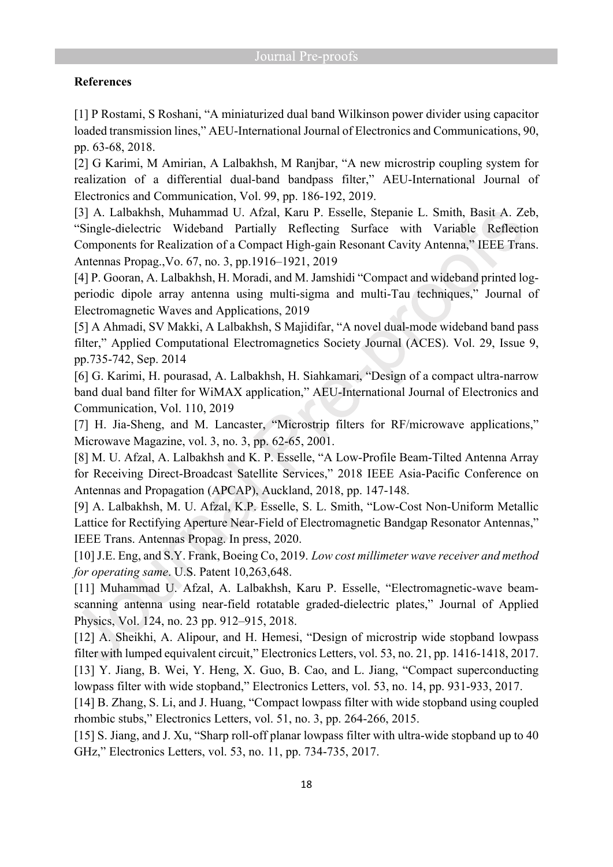### **References**

[1] P Rostami, S Roshani, "A miniaturized dual band Wilkinson power divider using capacitor loaded transmission lines," AEU-International Journal of Electronics and Communications, 90, pp. 63-68, 2018.

[2] G Karimi, M Amirian, A Lalbakhsh, M Ranjbar, "A new microstrip coupling system for realization of a differential dual-band bandpass filter," AEU-International Journal of Electronics and Communication, Vol. 99, pp. 186-192, 2019.

[3] A. Lalbakhsh, Muhammad U. Afzal, Karu P. Esselle, Stepanie L. Smith, Basit A. Zeb, "Single-dielectric Wideband Partially Reflecting Surface with Variable Reflection Components for Realization of a Compact High-gain Resonant Cavity Antenna," IEEE Trans. Antennas Propag.,Vo. 67, no. 3, pp.1916–1921, 2019

[4] P. Gooran, A. Lalbakhsh, H. Moradi, and M. Jamshidi "Compact and wideband printed logperiodic dipole array antenna using multi-sigma and multi-Tau techniques," Journal of Electromagnetic Waves and Applications, 2019

[5] A Ahmadi, SV Makki, A Lalbakhsh, S Majidifar, "A novel dual-mode wideband band pass filter," Applied Computational Electromagnetics Society Journal (ACES). Vol. 29, Issue 9, pp.735-742, Sep. 2014

[6] G. Karimi, H. pourasad, A. Lalbakhsh, H. Siahkamari, "Design of a compact ultra-narrow band dual band filter for WiMAX application," AEU-International Journal of Electronics and Communication, Vol. 110, 2019

[7] H. Jia-Sheng, and M. Lancaster, "Microstrip filters for RF/microwave applications," Microwave Magazine, vol. 3, no. 3, pp. 62-65, 2001.

[8] M. U. Afzal, A. Lalbakhsh and K. P. Esselle, "A Low-Profile Beam-Tilted Antenna Array for Receiving Direct-Broadcast Satellite Services," 2018 IEEE Asia-Pacific Conference on Antennas and Propagation (APCAP), Auckland, 2018, pp. 147-148.

[9] A. Lalbakhsh, M. U. Afzal, K.P. Esselle, S. L. Smith, "Low-Cost Non-Uniform Metallic Lattice for Rectifying Aperture Near-Field of Electromagnetic Bandgap Resonator Antennas," IEEE Trans. Antennas Propag. In press, 2020.

[10] J.E. Eng, and S.Y. Frank, Boeing Co, 2019. *Low cost millimeter wave receiver and method for operating same*. U.S. Patent 10,263,648.

[11] Muhammad U. Afzal, A. Lalbakhsh, Karu P. Esselle, "Electromagnetic-wave beamscanning antenna using near-field rotatable graded-dielectric plates," Journal of Applied Physics, Vol. 124, no. 23 pp. 912–915, 2018.

[12] A. Sheikhi, A. Alipour, and H. Hemesi, "Design of microstrip wide stopband lowpass filter with lumped equivalent circuit," Electronics Letters, vol. 53, no. 21, pp. 1416-1418, 2017. [13] Y. Jiang, B. Wei, Y. Heng, X. Guo, B. Cao, and L. Jiang, "Compact superconducting lowpass filter with wide stopband," Electronics Letters, vol. 53, no. 14, pp. 931-933, 2017.

[14] B. Zhang, S. Li, and J. Huang, "Compact lowpass filter with wide stopband using coupled rhombic stubs," Electronics Letters, vol. 51, no. 3, pp. 264-266, 2015.

[15] S. Jiang, and J. Xu, "Sharp roll-off planar lowpass filter with ultra-wide stopband up to 40 GHz," Electronics Letters, vol. 53, no. 11, pp. 734-735, 2017.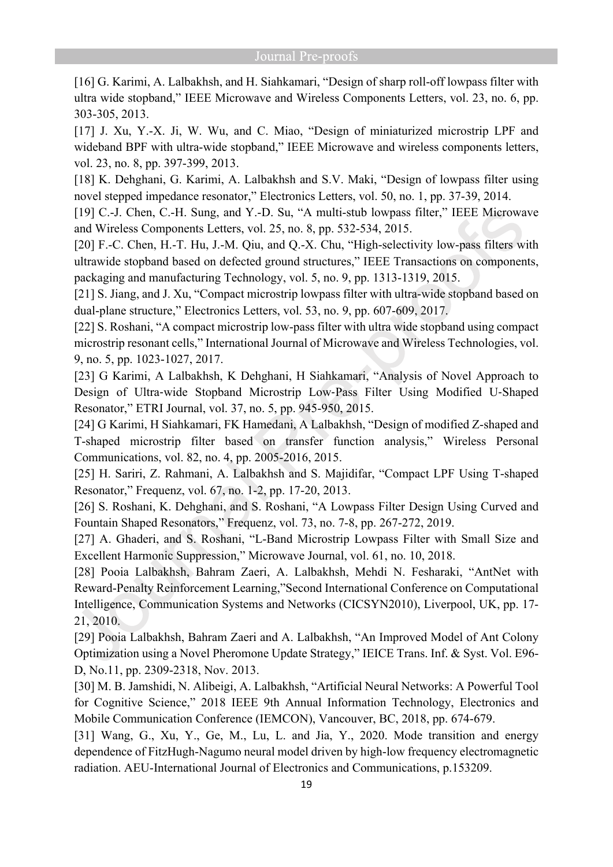[16] G. Karimi, A. Lalbakhsh, and H. Siahkamari, "Design of sharp roll-off lowpass filter with ultra wide stopband," IEEE Microwave and Wireless Components Letters, vol. 23, no. 6, pp. 303-305, 2013.

[17] J. Xu, Y.-X. Ji, W. Wu, and C. Miao, "Design of miniaturized microstrip LPF and wideband BPF with ultra-wide stopband," IEEE Microwave and wireless components letters, vol. 23, no. 8, pp. 397-399, 2013.

[18] K. Dehghani, G. Karimi, A. Lalbakhsh and S.V. Maki, "Design of lowpass filter using novel stepped impedance resonator," Electronics Letters, vol. 50, no. 1, pp. 37-39, 2014.

[19] C.-J. Chen, C.-H. Sung, and Y.-D. Su, "A multi-stub lowpass filter," IEEE Microwave and Wireless Components Letters, vol. 25, no. 8, pp. 532-534, 2015.

[20] F.-C. Chen, H.-T. Hu, J.-M. Qiu, and Q.-X. Chu, "High-selectivity low-pass filters with ultrawide stopband based on defected ground structures," IEEE Transactions on components, packaging and manufacturing Technology, vol. 5, no. 9, pp. 1313-1319, 2015.

[21] S. Jiang, and J. Xu, "Compact microstrip lowpass filter with ultra-wide stopband based on dual-plane structure," Electronics Letters, vol. 53, no. 9, pp. 607-609, 2017.

[22] S. Roshani, "A compact microstrip low-pass filter with ultra wide stopband using compact microstrip resonant cells," International Journal of Microwave and Wireless Technologies, vol. 9, no. 5, pp. 1023-1027, 2017.

[23] G Karimi, A Lalbakhsh, K Dehghani, H Siahkamari, "Analysis of Novel Approach to Design of Ultra‐wide Stopband Microstrip Low‐Pass Filter Using Modified U‐Shaped Resonator," ETRI Journal, vol. 37, no. 5, pp. 945-950, 2015.

[24] G Karimi, H Siahkamari, FK Hamedani, A Lalbakhsh, "Design of modified Z-shaped and T-shaped microstrip filter based on transfer function analysis," Wireless Personal Communications, vol. 82, no. 4, pp. 2005-2016, 2015.

[25] H. Sariri, Z. Rahmani, A. Lalbakhsh and S. Majidifar, "Compact LPF Using T-shaped Resonator," Frequenz, vol. 67, no. 1-2, pp. 17-20, 2013.

[26] S. Roshani, K. Dehghani, and S. Roshani, "A Lowpass Filter Design Using Curved and Fountain Shaped Resonators," Frequenz, vol. 73, no. 7-8, pp. 267-272, 2019.

[27] A. Ghaderi, and S. Roshani, "L-Band Microstrip Lowpass Filter with Small Size and Excellent Harmonic Suppression," Microwave Journal, vol. 61, no. 10, 2018.

[28] Pooia Lalbakhsh, Bahram Zaeri, A. Lalbakhsh, Mehdi N. Fesharaki, "AntNet with Reward-Penalty Reinforcement Learning,"Second International Conference on Computational Intelligence, Communication Systems and Networks (CICSYN2010), Liverpool, UK, pp. 17- 21, 2010.

[29] Pooia Lalbakhsh, Bahram Zaeri and A. Lalbakhsh, "An Improved Model of Ant Colony Optimization using a Novel Pheromone Update Strategy," IEICE Trans. Inf. & Syst. Vol. E96- D, No.11, pp. 2309-2318, Nov. 2013.

[30] M. B. Jamshidi, N. Alibeigi, A. Lalbakhsh, "Artificial Neural Networks: A Powerful Tool for Cognitive Science," 2018 IEEE 9th Annual Information Technology, Electronics and Mobile Communication Conference (IEMCON), Vancouver, BC, 2018, pp. 674-679.

[31] Wang, G., Xu, Y., Ge, M., Lu, L. and Jia, Y., 2020. Mode transition and energy dependence of FitzHugh-Nagumo neural model driven by high-low frequency electromagnetic radiation. AEU-International Journal of Electronics and Communications, p.153209.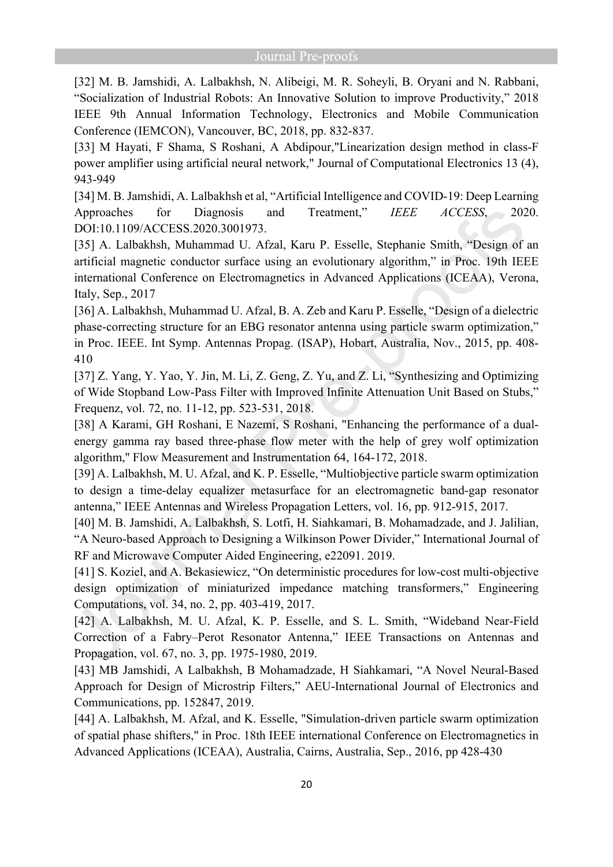[32] M. B. Jamshidi, A. Lalbakhsh, N. Alibeigi, M. R. Soheyli, B. Oryani and N. Rabbani, "Socialization of Industrial Robots: An Innovative Solution to improve Productivity," 2018 IEEE 9th Annual Information Technology, Electronics and Mobile Communication Conference (IEMCON), Vancouver, BC, 2018, pp. 832-837.

[33] M Hayati, F Shama, S Roshani, A Abdipour,"Linearization design method in class-F power amplifier using artificial neural network," Journal of Computational Electronics 13 (4), 943-949

[34] M. B. Jamshidi, A. Lalbakhsh et al, "Artificial Intelligence and COVID-19: Deep Learning Approaches for Diagnosis and Treatment," *IEEE ACCESS*, 2020. DOI:10.1109/ACCESS.2020.3001973.

[35] A. Lalbakhsh, Muhammad U. Afzal, Karu P. Esselle, Stephanie Smith, "Design of an artificial magnetic conductor surface using an evolutionary algorithm," in Proc. 19th IEEE international Conference on Electromagnetics in Advanced Applications (ICEAA), Verona, Italy, Sep., 2017

[36] A. Lalbakhsh, Muhammad U. Afzal, B. A. Zeb and Karu P. Esselle, "Design of a dielectric phase-correcting structure for an EBG resonator antenna using particle swarm optimization," in Proc. IEEE. Int Symp. Antennas Propag. (ISAP), Hobart, Australia, Nov., 2015, pp. 408- 410

[37] Z. Yang, Y. Yao, Y. Jin, M. Li, Z. Geng, Z. Yu, and Z. Li, "Synthesizing and Optimizing of Wide Stopband Low-Pass Filter with Improved Infinite Attenuation Unit Based on Stubs," Frequenz, vol. 72, no. 11-12, pp. 523-531, 2018.

[38] A Karami, GH Roshani, E Nazemi, S Roshani, "Enhancing the performance of a dualenergy gamma ray based three-phase flow meter with the help of grey wolf optimization algorithm,'' Flow Measurement and Instrumentation 64, 164-172, 2018.

[39] A. Lalbakhsh, M. U. Afzal, and K. P. Esselle, "Multiobjective particle swarm optimization to design a time-delay equalizer metasurface for an electromagnetic band-gap resonator antenna," IEEE Antennas and Wireless Propagation Letters, vol. 16, pp. 912-915, 2017.

[40] M. B. Jamshidi, A. Lalbakhsh, S. Lotfi, H. Siahkamari, B. Mohamadzade, and J. Jalilian, "A Neuro-based Approach to Designing a Wilkinson Power Divider," International Journal of RF and Microwave Computer Aided Engineering, e22091. 2019.

[41] S. Koziel, and A. Bekasiewicz, "On deterministic procedures for low-cost multi-objective design optimization of miniaturized impedance matching transformers," Engineering Computations, vol. 34, no. 2, pp. 403-419, 2017.

[42] A. Lalbakhsh, M. U. Afzal, K. P. Esselle, and S. L. Smith, "Wideband Near-Field Correction of a Fabry–Perot Resonator Antenna," IEEE Transactions on Antennas and Propagation, vol. 67, no. 3, pp. 1975-1980, 2019.

[43] MB Jamshidi, A Lalbakhsh, B Mohamadzade, H Siahkamari, "A Novel Neural-Based Approach for Design of Microstrip Filters," AEU-International Journal of Electronics and Communications, pp. 152847, 2019.

[44] A. Lalbakhsh, M. Afzal, and K. Esselle, "Simulation-driven particle swarm optimization of spatial phase shifters," in Proc. 18th IEEE international Conference on Electromagnetics in Advanced Applications (ICEAA), Australia, Cairns, Australia, Sep., 2016, pp 428-430